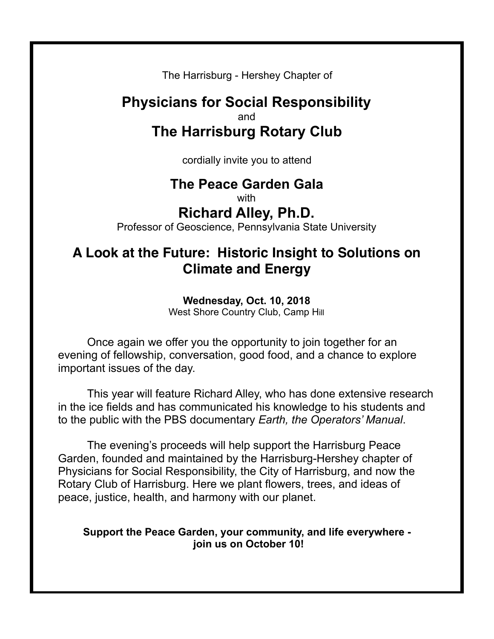The Harrisburg - Hershey Chapter of

## **Physicians for Social Responsibility** and **The Harrisburg Rotary Club**

cordially invite you to attend

# **The Peace Garden Gala**

with

## **Richard Alley, Ph.D.**

Professor of Geoscience, Pennsylvania State University

## **A Look at the Future: Historic Insight to Solutions on Climate and Energy**

### **Wednesday, Oct. 10, 2018**

West Shore Country Club, Camp Hill

Once again we offer you the opportunity to join together for an evening of fellowship, conversation, good food, and a chance to explore important issues of the day.

 This year will feature Richard Alley, who has done extensive research in the ice fields and has communicated his knowledge to his students and to the public with the PBS documentary *Earth, the Operators' Manual*.

 The evening's proceeds will help support the Harrisburg Peace Garden, founded and maintained by the Harrisburg-Hershey chapter of Physicians for Social Responsibility, the City of Harrisburg, and now the Rotary Club of Harrisburg. Here we plant flowers, trees, and ideas of peace, justice, health, and harmony with our planet.

### **Support the Peace Garden, your community, and life everywhere join us on October 10!**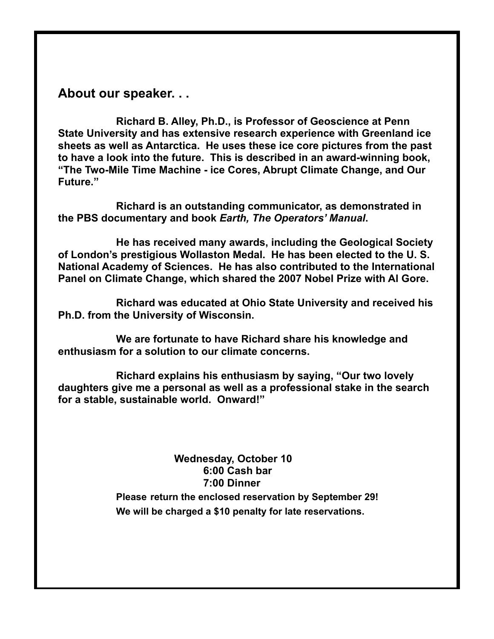### **About our speaker. . .**

 **Richard B. Alley, Ph.D., is Professor of Geoscience at Penn State University and has extensive research experience with Greenland ice sheets as well as Antarctica. He uses these ice core pictures from the past to have a look into the future. This is described in an award-winning book, "The Two-Mile Time Machine - ice Cores, Abrupt Climate Change, and Our Future."** 

 **Richard is an outstanding communicator, as demonstrated in the PBS documentary and book** *Earth, The Operators' Manual***.** 

 **He has received many awards, including the Geological Society of London's prestigious Wollaston Medal. He has been elected to the U. S. National Academy of Sciences. He has also contributed to the International Panel on Climate Change, which shared the 2007 Nobel Prize with Al Gore.** 

 **Richard was educated at Ohio State University and received his Ph.D. from the University of Wisconsin.** 

 **We are fortunate to have Richard share his knowledge and enthusiasm for a solution to our climate concerns.** 

 **Richard explains his enthusiasm by saying, "Our two lovely daughters give me a personal as well as a professional stake in the search for a stable, sustainable world. Onward!"** 

### **Wednesday, October 10 6:00 Cash bar 7:00 Dinner Please return the enclosed reservation by September 29!**

**We will be charged a \$10 penalty for late reservations.**